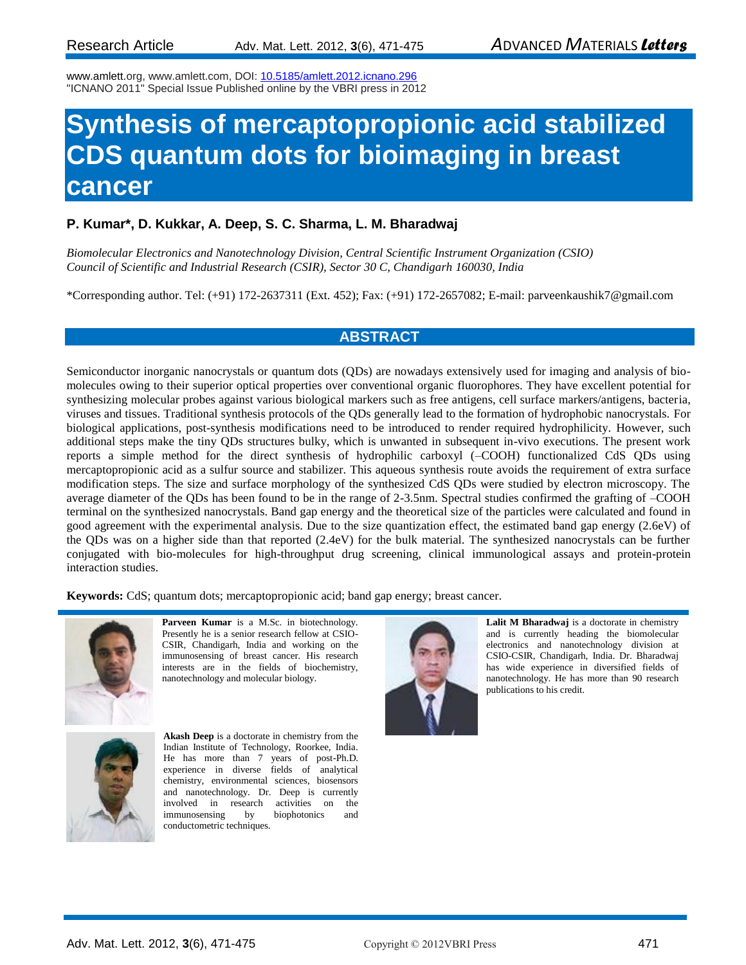www.amlett.org, www.amlett.com, DOI[: 10.5185/amlett.2012.icnano.296](http://dx.doi.org/10.5185/amlett.2012.icnano.296)  "ICNANO 2011" Special Issue Published online by the VBRI press in 2012

# **Synthesis of mercaptopropionic acid stabilized CDS quantum dots for bioimaging in breast cancer**

### **P. Kumar\*, D. Kukkar, A. Deep, S. C. Sharma, L. M. Bharadwaj**

*Biomolecular Electronics and Nanotechnology Division, Central Scientific Instrument Organization (CSIO) Council of Scientific and Industrial Research (CSIR), Sector 30 C, Chandigarh 160030, India*

\*Corresponding author. Tel: (+91) 172-2637311 (Ext. 452); Fax: (+91) 172-2657082; E-mail: parveenkaushik7@gmail.com

### **ABSTRACT**

Semiconductor inorganic nanocrystals or quantum dots (QDs) are nowadays extensively used for imaging and analysis of biomolecules owing to their superior optical properties over conventional organic fluorophores. They have excellent potential for synthesizing molecular probes against various biological markers such as free antigens, cell surface markers/antigens, bacteria, viruses and tissues. Traditional synthesis protocols of the QDs generally lead to the formation of hydrophobic nanocrystals. For biological applications, post-synthesis modifications need to be introduced to render required hydrophilicity. However, such additional steps make the tiny QDs structures bulky, which is unwanted in subsequent in-vivo executions. The present work reports a simple method for the direct synthesis of hydrophilic carboxyl (–COOH) functionalized CdS QDs using mercaptopropionic acid as a sulfur source and stabilizer. This aqueous synthesis route avoids the requirement of extra surface modification steps. The size and surface morphology of the synthesized CdS QDs were studied by electron microscopy. The average diameter of the QDs has been found to be in the range of 2-3.5nm. Spectral studies confirmed the grafting of –COOH terminal on the synthesized nanocrystals. Band gap energy and the theoretical size of the particles were calculated and found in good agreement with the experimental analysis. Due to the size quantization effect, the estimated band gap energy (2.6eV) of the QDs was on a higher side than that reported (2.4eV) for the bulk material. The synthesized nanocrystals can be further conjugated with bio-molecules for high-throughput drug screening, clinical immunological assays and protein-protein interaction studies.

**Keywords:** CdS; quantum dots; mercaptopropionic acid; band gap energy; breast cancer.



**Parveen Kumar** is a M.Sc. in biotechnology. Presently he is a senior research fellow at CSIO-CSIR, Chandigarh, India and working on the immunosensing of breast cancer. His research interests are in the fields of biochemistry, nanotechnology and molecular biology.



**Akash Deep** is a doctorate in chemistry from the Indian Institute of Technology, Roorkee, India. He has more than 7 years of post-Ph.D. experience in diverse fields of analytical chemistry, environmental sciences, biosensors and nanotechnology. Dr. Deep is currently involved in research activities on the immunosensing by biophotonics and conductometric techniques.



**Lalit M Bharadwaj** is a doctorate in chemistry and is currently heading the biomolecular electronics and nanotechnology division at CSIO-CSIR, Chandigarh, India. Dr. Bharadwaj has wide experience in diversified fields of nanotechnology. He has more than 90 research publications to his credit.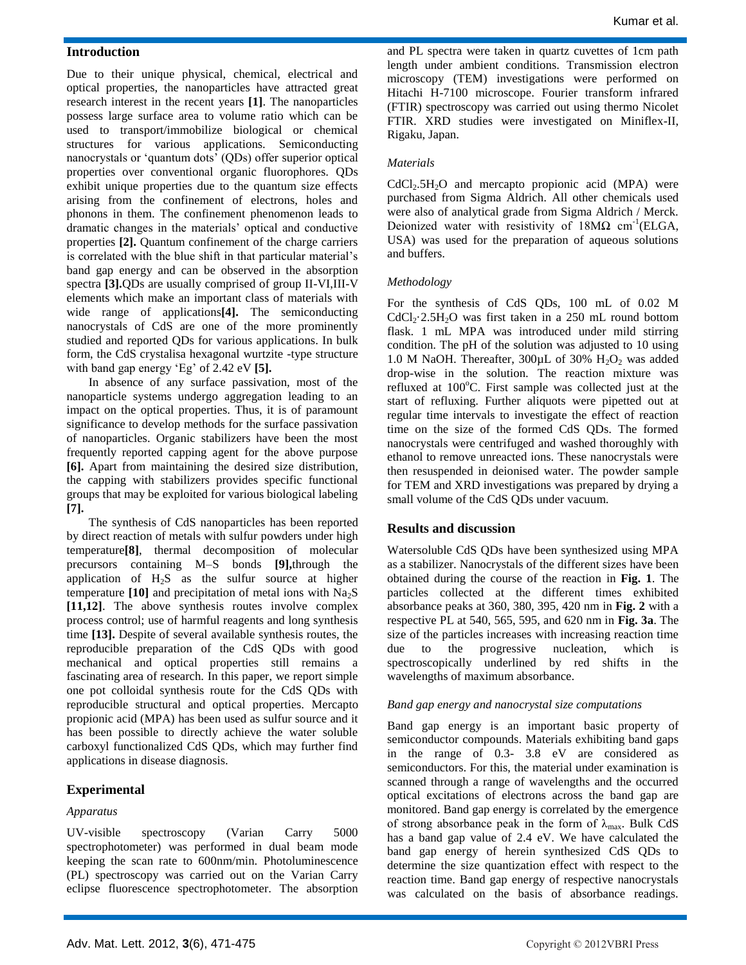### **Introduction**

Due to their unique physical, chemical, electrical and optical properties, the nanoparticles have attracted great research interest in the recent years **[1]**. The nanoparticles possess large surface area to volume ratio which can be used to transport/immobilize biological or chemical structures for various applications. Semiconducting nanocrystals or 'quantum dots' (QDs) offer superior optical properties over conventional organic fluorophores. QDs exhibit unique properties due to the quantum size effects arising from the confinement of electrons, holes and phonons in them. The confinement phenomenon leads to dramatic changes in the materials' optical and conductive properties **[2].** Quantum confinement of the charge carriers is correlated with the blue shift in that particular material's band gap energy and can be observed in the absorption spectra **[3].**QDs are usually comprised of group II-VI,III-V elements which make an important class of materials with wide range of applications**[4].** The semiconducting nanocrystals of CdS are one of the more prominently studied and reported QDs for various applications. In bulk form, the CdS crystalisa hexagonal wurtzite -type structure with band gap energy 'Eg' of 2.42 eV **[5].**

In absence of any surface passivation, most of the nanoparticle systems undergo aggregation leading to an impact on the optical properties. Thus, it is of paramount significance to develop methods for the surface passivation of nanoparticles. Organic stabilizers have been the most frequently reported capping agent for the above purpose **[6].** Apart from maintaining the desired size distribution, the capping with stabilizers provides specific functional groups that may be exploited for various biological labeling **[7].**

The synthesis of CdS nanoparticles has been reported by direct reaction of metals with sulfur powders under high temperature**[8]**, thermal decomposition of molecular precursors containing M–S bonds **[9],**through the application of  $H_2S$  as the sulfur source at higher temperature  $[10]$  and precipitation of metal ions with  $Na<sub>2</sub>S$ **[11,12]**. The above synthesis routes involve complex process control; use of harmful reagents and long synthesis time **[13].** Despite of several available synthesis routes, the reproducible preparation of the CdS QDs with good mechanical and optical properties still remains a fascinating area of research. In this paper, we report simple one pot colloidal synthesis route for the CdS QDs with reproducible structural and optical properties. Mercapto propionic acid (MPA) has been used as sulfur source and it has been possible to directly achieve the water soluble carboxyl functionalized CdS QDs, which may further find applications in disease diagnosis.

### **Experimental**

### *Apparatus*

UV-visible spectroscopy (Varian Carry 5000 spectrophotometer) was performed in dual beam mode keeping the scan rate to 600nm/min. Photoluminescence (PL) spectroscopy was carried out on the Varian Carry eclipse fluorescence spectrophotometer. The absorption

and PL spectra were taken in quartz cuvettes of 1cm path length under ambient conditions. Transmission electron microscopy (TEM) investigations were performed on Hitachi H-7100 microscope. Fourier transform infrared (FTIR) spectroscopy was carried out using thermo Nicolet FTIR. XRD studies were investigated on Miniflex-II, Rigaku, Japan.

#### *Materials*

 $CdCl<sub>2</sub>.5H<sub>2</sub>O$  and mercapto propionic acid (MPA) were purchased from Sigma Aldrich. All other chemicals used were also of analytical grade from Sigma Aldrich / Merck. Deionized water with resistivity of 18MΩ cm<sup>-1</sup>(ELGA, USA) was used for the preparation of aqueous solutions and buffers.

#### *Methodology*

For the synthesis of CdS QDs, 100 mL of 0.02 M  $CdCl_2·2.5H_2O$  was first taken in a 250 mL round bottom flask. 1 mL MPA was introduced under mild stirring condition. The pH of the solution was adjusted to 10 using 1.0 M NaOH. Thereafter,  $300 \mu L$  of  $30\%$  H<sub>2</sub>O<sub>2</sub> was added drop-wise in the solution. The reaction mixture was refluxed at  $100^{\circ}$ C. First sample was collected just at the start of refluxing. Further aliquots were pipetted out at regular time intervals to investigate the effect of reaction time on the size of the formed CdS QDs. The formed nanocrystals were centrifuged and washed thoroughly with ethanol to remove unreacted ions. These nanocrystals were then resuspended in deionised water. The powder sample for TEM and XRD investigations was prepared by drying a small volume of the CdS QDs under vacuum.

### **Results and discussion**

Watersoluble CdS QDs have been synthesized using MPA as a stabilizer. Nanocrystals of the different sizes have been obtained during the course of the reaction in **Fig. 1**. The particles collected at the different times exhibited absorbance peaks at 360, 380, 395, 420 nm in **Fig. 2** with a respective PL at 540, 565, 595, and 620 nm in **Fig. 3a**. The size of the particles increases with increasing reaction time due to the progressive nucleation, which is spectroscopically underlined by red shifts in the wavelengths of maximum absorbance.

### *Band gap energy and nanocrystal size computations*

Band gap energy is an important basic property of semiconductor compounds. Materials exhibiting band gaps in the range of 0.3- 3.8 eV are considered as semiconductors. For this, the material under examination is scanned through a range of wavelengths and the occurred optical excitations of electrons across the band gap are monitored. Band gap energy is correlated by the emergence of strong absorbance peak in the form of  $\lambda_{\text{max}}$ . Bulk CdS has a band gap value of 2.4 eV. We have calculated the band gap energy of herein synthesized CdS QDs to determine the size quantization effect with respect to the reaction time. Band gap energy of respective nanocrystals was calculated on the basis of absorbance readings.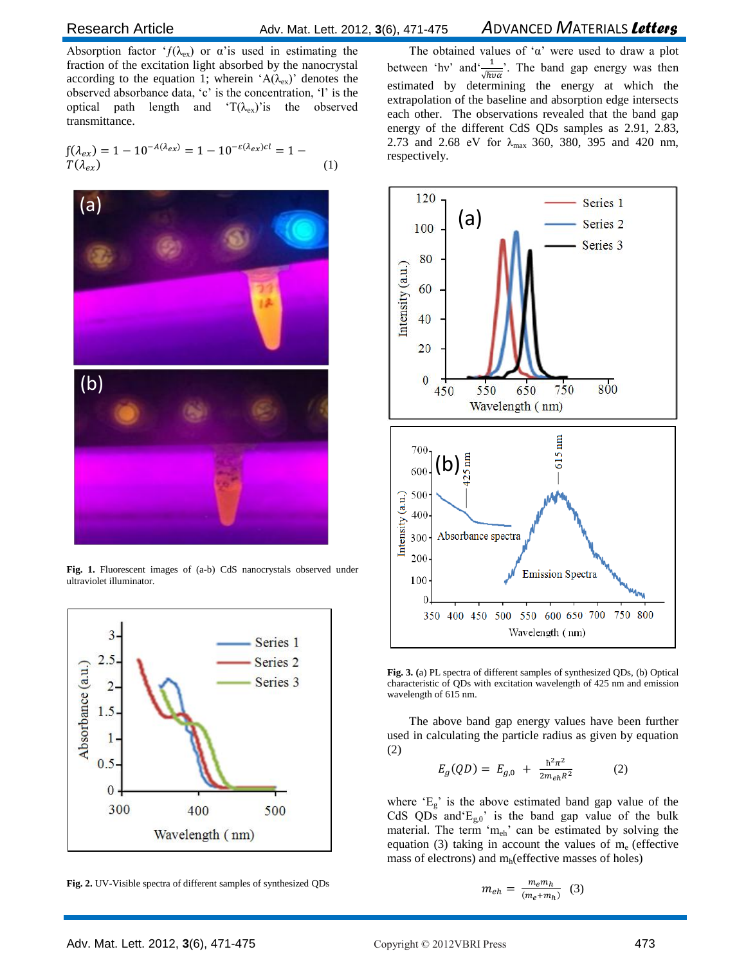### Research Article Adv. Mat. Lett. 2012, **3**(6), 471-475 *A*DVANCED *M*ATERIALS *Letters*

Absorption factor ' $f(\lambda_{ex})$  or  $\alpha$ 'is used in estimating the fraction of the excitation light absorbed by the nanocrystal according to the equation 1; wherein ' $A(\lambda_{ex})$ ' denotes the observed absorbance data, 'c' is the concentration, 'l' is the optical path length and ' $T(\lambda_{ex})$ 'is the observed transmittance.

$$
f(\lambda_{ex}) = 1 - 10^{-A(\lambda_{ex})} = 1 - 10^{-\varepsilon(\lambda_{ex})cl} = 1 - T(\lambda_{ex})
$$
\n(1)



Fig. 1. Fluorescent images of (a-b) CdS nanocrystals observed under ultraviolet illuminator.



**Fig. 2.** UV-Visible spectra of different samples of synthesized QDs

The obtained values of ' $\alpha$ ' were used to draw a plot between 'hv' and  $\frac{1}{\sqrt{h v \alpha}}$ . The band gap energy was then estimated by determining the energy at which the extrapolation of the baseline and absorption edge intersects each other. The observations revealed that the band gap energy of the different CdS QDs samples as 2.91, 2.83, 2.73 and 2.68 eV for  $\lambda_{\text{max}}$  360, 380, 395 and 420 nm, respectively.



**Fig. 3. (**a) PL spectra of different samples of synthesized QDs, (b) Optical characteristic of QDs with excitation wavelength of 425 nm and emission wavelength of 615 nm.

The above band gap energy values have been further used in calculating the particle radius as given by equation (2)

$$
E_g(QD) = E_{g,0} + \frac{\hbar^2 \pi^2}{2m_{eh} R^2}
$$
 (2)

where  $E_g$  is the above estimated band gap value of the CdS QDs and  $E_{g,0}$ ' is the band gap value of the bulk material. The term 'm<sub>eh</sub>' can be estimated by solving the equation (3) taking in account the values of  $m_e$  (effective mass of electrons) and  $m_h$  (effective masses of holes)

$$
m_{eh} = \frac{m_e m_h}{(m_e + m_h)} \quad (3)
$$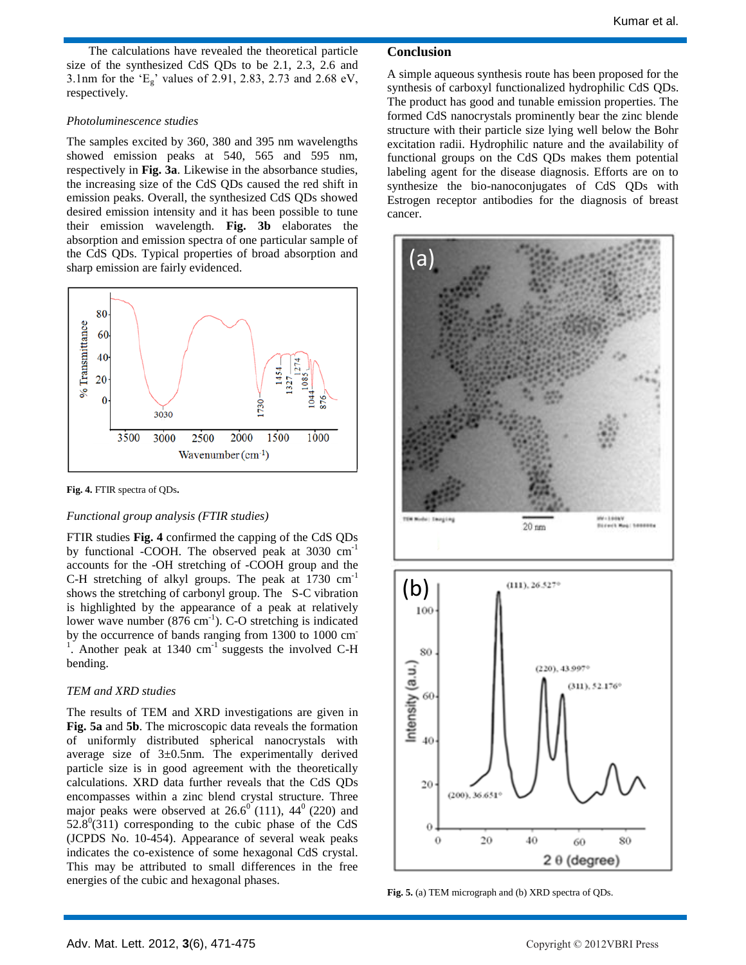The calculations have revealed the theoretical particle size of the synthesized CdS QDs to be 2.1, 2.3, 2.6 and 3.1nm for the ' $E_g$ ' values of 2.91, 2.83, 2.73 and 2.68 eV, respectively.

### *Photoluminescence studies*

The samples excited by 360, 380 and 395 nm wavelengths showed emission peaks at 540, 565 and 595 nm, respectively in **Fig. 3a**. Likewise in the absorbance studies, the increasing size of the CdS QDs caused the red shift in emission peaks. Overall, the synthesized CdS QDs showed desired emission intensity and it has been possible to tune their emission wavelength. **Fig. 3b** elaborates the absorption and emission spectra of one particular sample of the CdS QDs. Typical properties of broad absorption and sharp emission are fairly evidenced.



**Fig. 4.** FTIR spectra of QDs**.**

### *Functional group analysis (FTIR studies)*

FTIR studies **Fig. 4** confirmed the capping of the CdS QDs by functional -COOH. The observed peak at 3030 cm<sup>-1</sup> accounts for the -OH stretching of -COOH group and the C-H stretching of alkyl groups. The peak at 1730 cm-1 shows the stretching of carbonyl group. The S-C vibration is highlighted by the appearance of a peak at relatively lower wave number  $(876 \text{ cm}^{-1})$ . C-O stretching is indicated by the occurrence of bands ranging from 1300 to 1000 cm-1 . Another peak at  $1340 \text{ cm}^{-1}$  suggests the involved C-H bending.

### *TEM and XRD studies*

The results of TEM and XRD investigations are given in **Fig. 5a** and **5b**. The microscopic data reveals the formation of uniformly distributed spherical nanocrystals with average size of  $3\pm 0.5$ nm. The experimentally derived particle size is in good agreement with the theoretically calculations. XRD data further reveals that the CdS QDs encompasses within a zinc blend crystal structure. Three major peaks were observed at  $26.6^{\circ}$  (111),  $44^{\circ}$  (220) and  $52.8^{\circ}$ (311) corresponding to the cubic phase of the CdS (JCPDS No. 10-454). Appearance of several weak peaks indicates the co-existence of some hexagonal CdS crystal. This may be attributed to small differences in the free energies of the cubic and hexagonal phases.

### **Conclusion**

A simple aqueous synthesis route has been proposed for the synthesis of carboxyl functionalized hydrophilic CdS QDs. The product has good and tunable emission properties. The formed CdS nanocrystals prominently bear the zinc blende structure with their particle size lying well below the Bohr excitation radii. Hydrophilic nature and the availability of functional groups on the CdS QDs makes them potential labeling agent for the disease diagnosis. Efforts are on to synthesize the bio-nanoconjugates of CdS QDs with Estrogen receptor antibodies for the diagnosis of breast cancer.





**Fig. 5.** (a) TEM micrograph and (b) XRD spectra of QDs.